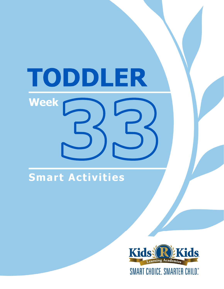# TODDLER **Week**

# Smart Activities

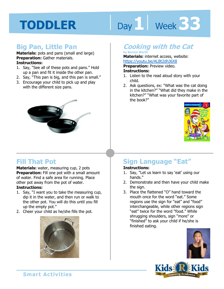# Day 1 **Week 33**

### **Big Pan, Little Pan**

#### **Materials:** pots and pans (small and large) **Preparation:** Gather materials. **Instructions:**

- 1. Say, "See all of these pots and pans." Hold up a pan and fit it inside the other pan.
- 2. Say, "This pan is big, and this pan is small."
- 3. Encourage your child to pick up and play with the different size pans.



### **Fill That Pot**

**Materials:** water, measuring cup, 2 pots **Preparation:** Fill one pot with a small amount of water. Find a safe area for running. Place other pot away from the pot of water.

#### **Instructions:**

- 1. Say, "I want you to take the measuring cup, dip it in the water, and then run or walk to the other pot. You will do this until you fill up the empty pot."
- 2. Cheer your child as he/she fills the pot.



# **Cooking with the Cat**

#### **by Bonnie Worth**

**Materials:** internet access, website:

https://youtu.be/ALBt2dhJ6X8<br>**Preparation:** Preview video.<br>**Instructions:**<br>1 Listen to the read aloud star with w **Preparation:** Preview video. **Instructions:** 

- 1. Listen to the read aloud story with your child.
- 2. Ask questions, ex: "What was the cat doing in the kitchen?" "What did they make in the kitchen?" "What was your favorite part of the book?"



# **Sign Language "Eat"**

- 1. Say, "Let us learn to say 'eat' using our hands."
- 2. Demonstrate and then have your child make the sign.
- 3. Place the flattened "O" hand toward the mouth once for the word "eat." Some regions use the sign for "eat" and "food" interchangeable, while other regions sign "eat" twice for the word "food." While shrugging shoulders, sign "more" or "finished" to ask your child if he/she is finished eating.



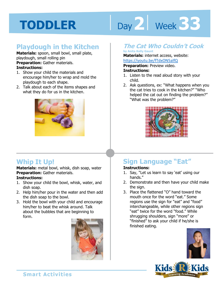# Day 2 **Week 33**

# **Playdough in the Kitchen**

**Materials:** spoon, small bowl, small plate, playdough, small rolling pin **Preparation:** Gather materials. **Instructions:** 

- 1. Show your child the materials and encourage him/her to wrap and mold the playdough to each shape.
- 2. Talk about each of the items shapes and what they do for us in the kitchen.



# **Whip It Up!**

**Materials:** metal bowl, whisk, dish soap, water **Preparation:** Gather materials. **Instructions:** 

- 1. Show your child the bowl, whisk, water, and dish soap.
- 2. Help him/her pour in the water and then add the dish soap to the bowl.
- 3. Hold the bowl with your child and encourage him/her to beat the whisk around. Talk about the bubbles that are beginning to form.



### **The Cat Who Couldn't Cook**

**by Anita Kelly Gaunt** 

**Materials:** internet access, website:

https://youtu.be/fTdxON5alfQ<br>**Preparation:** Preview video.<br>**Instructions:**<br>1 Listen to the read aloud stery with you **Preparation: Preview video. Instructions:** 

- 1. Listen to the read aloud story with your child.
- 2. Ask questions, ex: "What happens when you the cat tries to cook in the kitchen?" "Who helped the cat out on finding the problem?" "What was the problem?"



# **Sign Language "Eat"**

#### **Instructions:**

- 1. Say, "Let us learn to say 'eat' using our hands."
- 2. Demonstrate and then have your child make the sign.
- 3. Place the flattened "O" hand toward the mouth once for the word "eat." Some regions use the sign for "eat" and "food" interchangeable, while other regions sign "eat" twice for the word "food." While shrugging shoulders, sign "more" or "finished" to ask your child if he/she is finished eating.





**Smart Activities**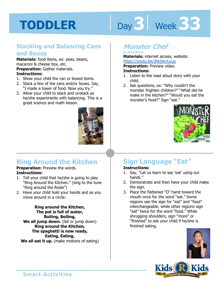# Day 3 **Week 33**

#### **Stacking and Balancing Cans and Boxes**

**Materials:** food items, ex: peas, beans, macaroni & cheese box, etc. **Preparation:** Gather materials. **Instructions:** 

- 1. Show your child the can or boxed items.
- 2. Stack a few of the cans and/or boxes. Say, "I made a tower of food. Now you try."
- 3. Allow your child to stack and unstack as he/she experiments with balancing. This is a great science and math lesson.



# **Ring Around the Kitchen**

#### **Preparation: Preview the words. Instructions:**

- 1. Tell your child that he/she is going to play "Ring Around the Kitchen." (sing to the tune "Ring around the Rosie")
- 2. Have your child hold your hands and as you move around in a circle:

**Ring around the Kitchen, The pot is full of water, Boiling, Boiling, We all jump down.** (fall or jump down) **Ring around the Kitchen, The spaghetti is now ready, Eating, Eating, We all eat it up.** (make motions of eating)

# **Monster Chef**

#### **by Nick Bland Materials:** internet access, website:

https://youtu.be/JhkSArrLouo

**Preparation:** Preview video.

#### **Instructions:**

- 1. Listen to the read aloud story with your child.
- 2. Ask questions, ex: "Why couldn't the monster frighten children?" "What did he make in the kitchen?" "Would you eat the monster's food?" Sign "eat."



# **Sign Language "Eat"**

- 1. Say, "Let us learn to say 'eat' using our hands."
- 2. Demonstrate and then have your child make the sign.
- 3. Place the flattened "O" hand toward the mouth once for the word "eat." Some regions use the sign for "eat" and "food" interchangeable, while other regions sign "eat" twice for the word "food." While shrugging shoulders, sign "more" or "finished" to ask your child if he/she is finished eating.



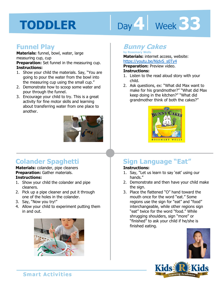# Day 4 Week 33

#### **Funnel Play**

**Materials:** funnel, bowl, water, large measuring cup, cup

**Preparation:** Set funnel in the measuring cup. **Instructions:** 

- 1. Show your child the materials. Say, "You are going to pour the water from the bowl into the measuring cup using the small cup."
- 2. Demonstrate how to scoop some water and pour through the funnel.
- 3. Encourage your child to try. This is a great activity for fine motor skills and learning about transferring water from one place to another.



# **Colander Spaghetti**

**Materials:** colander, pipe cleaners **Preparation:** Gather materials. **Instructions:** 

- 1. Show your child the colander and pipe cleaners.
- 2. Pick up a pipe cleaner and put it through one of the holes in the colander.
- 3. Say, "Now you try!"
- 4. Allow your child to experiment putting them in and out.



# **Bunny Cakes**

**by Rosemary Wells Materials:** internet access, website:

https://youtu.be/NjdvS\_s0Ty4<br>**Preparation:** Preview video.<br>**Instructions:**<br>1 Listen to the read aloud star with w **Preparation:** Preview video. **Instructions:** 

- 1. Listen to the read aloud story with your child.
- 2. Ask questions, ex: "What did Max want to make for his grandmother?" "What did Max keep doing in the kitchen?" "What did grandmother think of both the cakes?"



# **Sign Language "Eat"**

- 1. Say, "Let us learn to say 'eat' using our hands."
- 2. Demonstrate and then have your child make the sign.
- 3. Place the flattened "O" hand toward the mouth once for the word "eat." Some regions use the sign for "eat" and "food" interchangeable, while other regions sign "eat" twice for the word "food." While shrugging shoulders, sign "more" or "finished" to ask your child if he/she is finished eating.